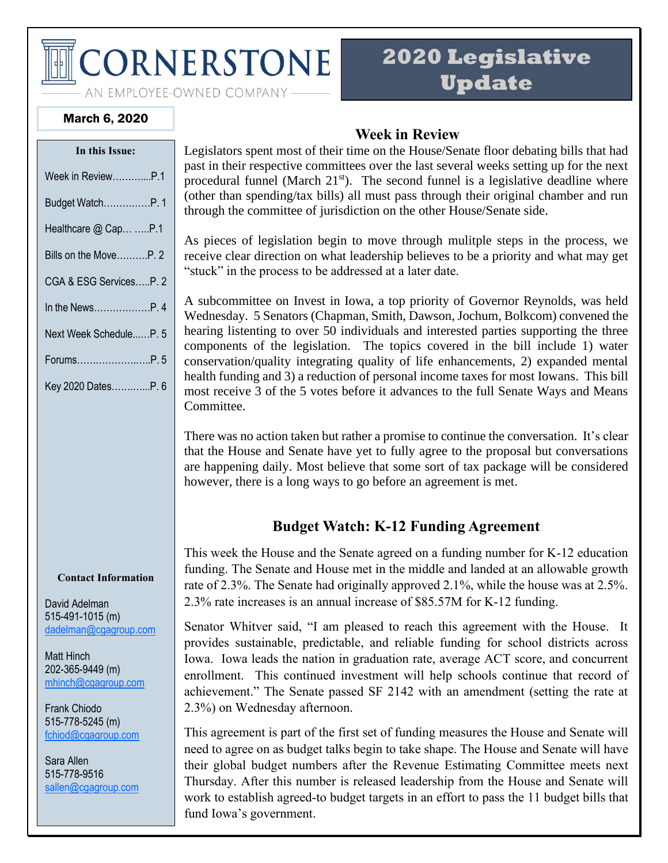# **CORNERSTONE**

AN EMPLOYEE-OWNED COMPANY-

# **2020 Legislative Update**

March 6, 2020

| In this Issue:         |  |  |
|------------------------|--|--|
| Week in ReviewP.1      |  |  |
| Budget WatchP. 1       |  |  |
| Healthcare @ Cap P.1   |  |  |
| Bills on the MoveP. 2  |  |  |
| CGA & ESG ServicesP. 2 |  |  |
| In the NewsP. 4        |  |  |
| Next Week ScheduleP. 5 |  |  |
| ForumsP.5              |  |  |
| Key 2020 DatesP. 6     |  |  |
|                        |  |  |

#### **Contact Information**

David Adelman 515-491-1015 (m) [dadelman@cgagroup.com](mailto:dadelman@cgagroup.com)

Matt Hinch 202-365-9449 (m) [mhinch@cgagroup.com](mailto:mhinch@cgagroup.com)

Frank Chiodo 515-778-5245 (m) [fchiod@cgagroup.com](mailto:fchiod@cgagroup.com)

Sara Allen 515-778-9516 [sallen@cgagroup.com](mailto:sallen@cgagroup.com)

#### **Week in Review**

Legislators spent most of their time on the House/Senate floor debating bills that had past in their respective committees over the last several weeks setting up for the next procedural funnel (March  $21<sup>st</sup>$ ). The second funnel is a legislative deadline where (other than spending/tax bills) all must pass through their original chamber and run through the committee of jurisdiction on the other House/Senate side.

As pieces of legislation begin to move through mulitple steps in the process, we receive clear direction on what leadership believes to be a priority and what may get "stuck" in the process to be addressed at a later date.

A subcommittee on Invest in Iowa, a top priority of Governor Reynolds, was held Wednesday. 5 Senators (Chapman, Smith, Dawson, Jochum, Bolkcom) convened the hearing listenting to over 50 individuals and interested parties supporting the three components of the legislation. The topics covered in the bill include 1) water conservation/quality integrating quality of life enhancements, 2) expanded mental health funding and 3) a reduction of personal income taxes for most Iowans. This bill most receive 3 of the 5 votes before it advances to the full Senate Ways and Means Committee.

There was no action taken but rather a promise to continue the conversation. It's clear that the House and Senate have yet to fully agree to the proposal but conversations are happening daily. Most believe that some sort of tax package will be considered however, there is a long ways to go before an agreement is met.

#### **Budget Watch: K-12 Funding Agreement**

This week the House and the Senate agreed on a funding number for K-12 education funding. The Senate and House met in the middle and landed at an allowable growth rate of 2.3%. The Senate had originally approved 2.1%, while the house was at 2.5%. 2.3% rate increases is an annual increase of \$85.57M for K-12 funding.

Senator Whitver said, "I am pleased to reach this agreement with the House. It provides sustainable, predictable, and reliable funding for school districts across Iowa. Iowa leads the nation in graduation rate, average ACT score, and concurrent enrollment. This continued investment will help schools continue that record of achievement." The Senate passed SF 2142 with an amendment (setting the rate at 2.3%) on Wednesday afternoon.

This agreement is part of the first set of funding measures the House and Senate will need to agree on as budget talks begin to take shape. The House and Senate will have their global budget numbers after the Revenue Estimating Committee meets next Thursday. After this number is released leadership from the House and Senate will work to establish agreed-to budget targets in an effort to pass the 11 budget bills that fund Iowa's government.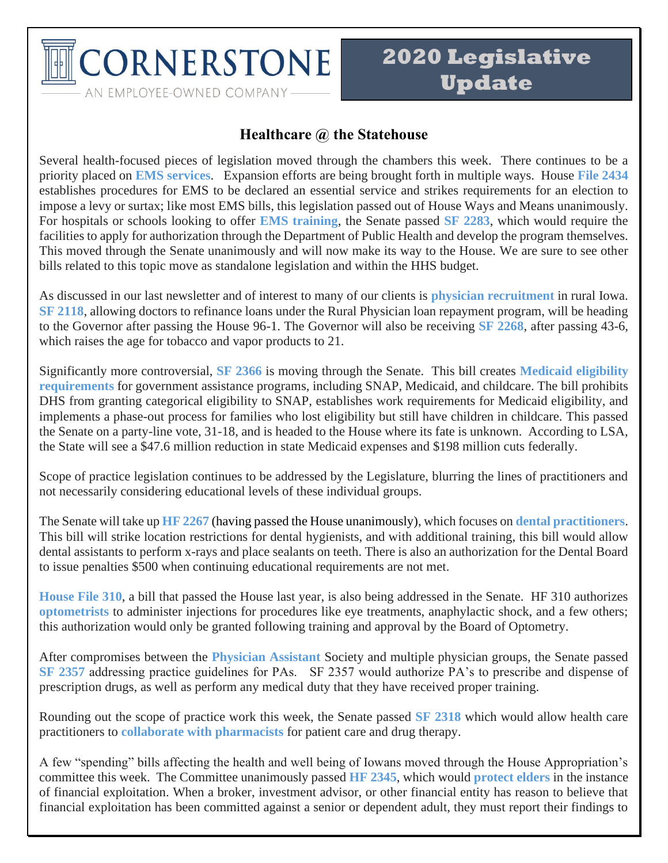

#### **Healthcare @ the Statehouse**

Several health-focused pieces of legislation moved through the chambers this week. There continues to be a priority placed on **EMS services**. Expansion efforts are being brought forth in multiple ways. House **File 2434** establishes procedures for EMS to be declared an essential service and strikes requirements for an election to impose a levy or surtax; like most EMS bills, this legislation passed out of House Ways and Means unanimously. For hospitals or schools looking to offer **EMS training**, the Senate passed **SF 2283**, which would require the facilities to apply for authorization through the Department of Public Health and develop the program themselves. This moved through the Senate unanimously and will now make its way to the House. We are sure to see other bills related to this topic move as standalone legislation and within the HHS budget.

As discussed in our last newsletter and of interest to many of our clients is **physician recruitment** in rural Iowa. **SF 2118**, allowing doctors to refinance loans under the Rural Physician loan repayment program, will be heading to the Governor after passing the House 96-1. The Governor will also be receiving **SF 2268**, after passing 43-6, which raises the age for tobacco and vapor products to 21.

Significantly more controversial, **SF 2366** is moving through the Senate. This bill creates **Medicaid eligibility requirements** for government assistance programs, including SNAP, Medicaid, and childcare. The bill prohibits DHS from granting categorical eligibility to SNAP, establishes work requirements for Medicaid eligibility, and implements a phase-out process for families who lost eligibility but still have children in childcare. This passed the Senate on a party-line vote, 31-18, and is headed to the House where its fate is unknown. According to LSA, the State will see a \$47.6 million reduction in state Medicaid expenses and \$198 million cuts federally.

Scope of practice legislation continues to be addressed by the Legislature, blurring the lines of practitioners and not necessarily considering educational levels of these individual groups.

The Senate will take up **HF 2267** (having passed the House unanimously), which focuses on **dental practitioners**. This bill will strike location restrictions for dental hygienists, and with additional training, this bill would allow dental assistants to perform x-rays and place sealants on teeth. There is also an authorization for the Dental Board to issue penalties \$500 when continuing educational requirements are not met.

**House File 310**, a bill that passed the House last year, is also being addressed in the Senate. HF 310 authorizes **optometrists** to administer injections for procedures like eye treatments, anaphylactic shock, and a few others; this authorization would only be granted following training and approval by the Board of Optometry.

After compromises between the **Physician Assistant** Society and multiple physician groups, the Senate passed **SF 2357** addressing practice guidelines for PAs. SF 2357 would authorize PA's to prescribe and dispense of prescription drugs, as well as perform any medical duty that they have received proper training.

Rounding out the scope of practice work this week, the Senate passed **SF 2318** which would allow health care practitioners to **collaborate with pharmacists** for patient care and drug therapy.

A few "spending" bills affecting the health and well being of Iowans moved through the House Appropriation's committee this week. The Committee unanimously passed **HF 2345**, which would **protect elders** in the instance of financial exploitation. When a broker, investment advisor, or other financial entity has reason to believe that financial exploitation has been committed against a senior or dependent adult, they must report their findings to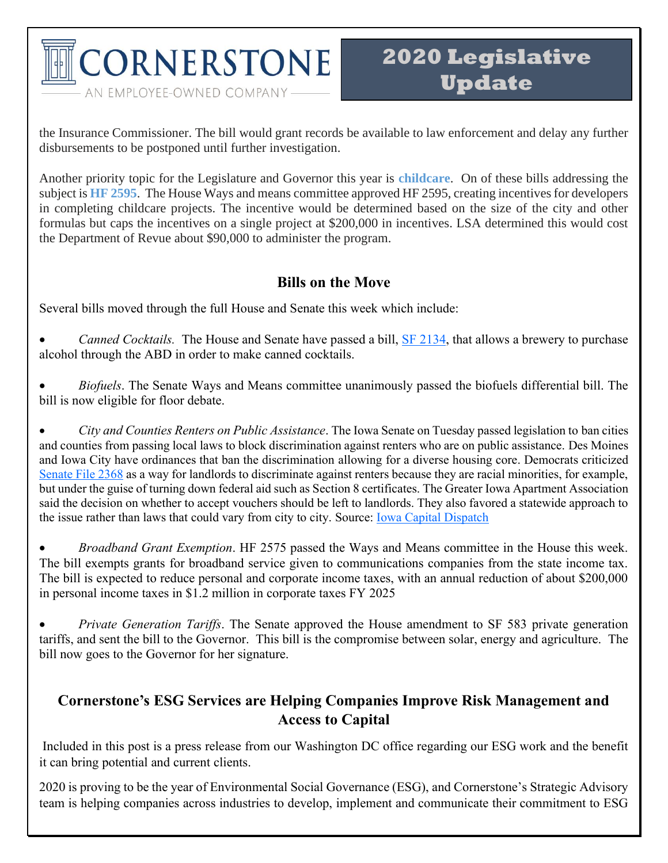**CORNERSTONE** AN EMPLOYEE-OWNED COMPANY-

the Insurance Commissioner. The bill would grant records be available to law enforcement and delay any further disbursements to be postponed until further investigation.

Another priority topic for the Legislature and Governor this year is **childcare**. On of these bills addressing the subject is **HF 2595**. The House Ways and means committee approved HF 2595, creating incentives for developers in completing childcare projects. The incentive would be determined based on the size of the city and other formulas but caps the incentives on a single project at \$200,000 in incentives. LSA determined this would cost the Department of Revue about \$90,000 to administer the program.

#### **Bills on the Move**

Several bills moved through the full House and Senate this week which include:

- *Canned Cocktails.* The House and Senate have passed a bill, **SF 2134**, that allows a brewery to purchase alcohol through the ABD in order to make canned cocktails.
- *Biofuels*. The Senate Ways and Means committee unanimously passed the biofuels differential bill. The bill is now eligible for floor debate.

• *City and Counties Renters on Public Assistance*. The Iowa Senate on Tuesday passed legislation to ban cities and counties from passing local laws to block discrimination against renters who are on public assistance. Des Moines and Iowa City have ordinances that ban the discrimination allowing for a diverse housing core. Democrats criticized [Senate File 2368](https://www.legis.iowa.gov/legislation/BillBook?ga=88&ba=SF2368) as a way for landlords to discriminate against renters because they are racial minorities, for example, but under the guise of turning down federal aid such as Section 8 certificates. The Greater Iowa Apartment Association said the decision on whether to accept vouchers should be left to landlords. They also favored a statewide approach to the issue rather than laws that could vary from city to city. Source: [Iowa Capital Dispatch](https://iowacapitaldispatch.com/briefs/senate-passes-bill-allowing-apartment-owners-to-deny-applicants-with-federal-aid/)

• *Broadband Grant Exemption*. HF 2575 passed the Ways and Means committee in the House this week. The bill exempts grants for broadband service given to communications companies from the state income tax. The bill is expected to reduce personal and corporate income taxes, with an annual reduction of about \$200,000 in personal income taxes in \$1.2 million in corporate taxes FY 2025

• *Private Generation Tariffs*. The Senate approved the House amendment to SF 583 private generation tariffs, and sent the bill to the Governor. This bill is the compromise between solar, energy and agriculture. The bill now goes to the Governor for her signature.

## **Cornerstone's ESG Services are Helping Companies Improve Risk Management and Access to Capital**

Included in this post is a press release from our Washington DC office regarding our ESG work and the benefit it can bring potential and current clients.

2020 is proving to be the year of Environmental Social Governance (ESG), and Cornerstone's Strategic Advisory team is helping companies across industries to develop, implement and communicate their commitment to ESG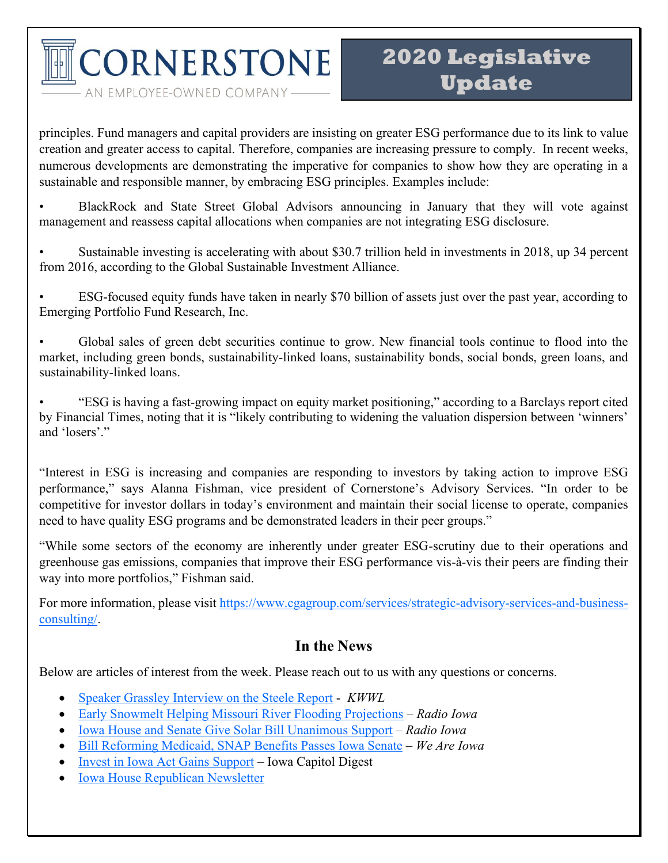CORNERSTONE

AN EMPLOYEE-OWNED COMPANY-

principles. Fund managers and capital providers are insisting on greater ESG performance due to its link to value creation and greater access to capital. Therefore, companies are increasing pressure to comply. In recent weeks, numerous developments are demonstrating the imperative for companies to show how they are operating in a sustainable and responsible manner, by embracing ESG principles. Examples include:

• BlackRock and State Street Global Advisors announcing in January that they will vote against management and reassess capital allocations when companies are not integrating ESG disclosure.

• Sustainable investing is accelerating with about \$30.7 trillion held in investments in 2018, up 34 percent from 2016, according to the Global Sustainable Investment Alliance.

• ESG-focused equity funds have taken in nearly \$70 billion of assets just over the past year, according to Emerging Portfolio Fund Research, Inc.

• Global sales of green debt securities continue to grow. New financial tools continue to flood into the market, including green bonds, sustainability-linked loans, sustainability bonds, social bonds, green loans, and sustainability-linked loans.

• "ESG is having a fast-growing impact on equity market positioning," according to a Barclays report cited by Financial Times, noting that it is "likely contributing to widening the valuation dispersion between 'winners' and 'losers'."

"Interest in ESG is increasing and companies are responding to investors by taking action to improve ESG performance," says Alanna Fishman, vice president of Cornerstone's Advisory Services. "In order to be competitive for investor dollars in today's environment and maintain their social license to operate, companies need to have quality ESG programs and be demonstrated leaders in their peer groups."

"While some sectors of the economy are inherently under greater ESG-scrutiny due to their operations and greenhouse gas emissions, companies that improve their ESG performance vis-à-vis their peers are finding their way into more portfolios," Fishman said.

For more information, please visit [https://www.cgagroup.com/services/strategic-advisory-services-and-business](https://www.cgagroup.com/services/strategic-advisory-services-and-business-consulting/)[consulting/.](https://www.cgagroup.com/services/strategic-advisory-services-and-business-consulting/)

### **In the News**

Below are articles of interest from the week. Please reach out to us with any questions or concerns.

- [Speaker Grassley Interview on the Steele Report](https://kwwl.com/2020/03/01/iowa-speaker-of-the-house-pat-grassley-on-the-steele-report/) *KWWL*
- [Early Snowmelt Helping Missouri River Flooding Projections](https://www.radioiowa.com/2020/02/28/early-snowmelt-helping-missouri-river-flood-outlook/) *Radio Iowa*
- [Iowa House and Senate Give Solar Bill Unanimous Support](http://www.iowahouserepublicans.com/category/newsletter) *Radio Iowa*
- [Bill Reforming Medicaid, SNAP Benefits Passes Iowa Senate](https://www.weareiowa.com/article/news/local/bill-reforming-medicaid-snap-benefits-passes-full-iowa-senate/524-d105f8bb-a35a-43ab-a326-6d0eecde9cdc) *We Are Iowa*
- [Invest in Iowa Act Gains Support](https://wcfcourier.com/news/local/govt-and-politics/capitol-digest-invest-in-iowa-plans-gains-support/article_ed6d4f3f-6ae7-5708-9280-c4d76982278f.html) Iowa Capitol Digest
- [Iowa House Republican Newsletter](http://www.iowahouserepublicans.com/category/newsletter)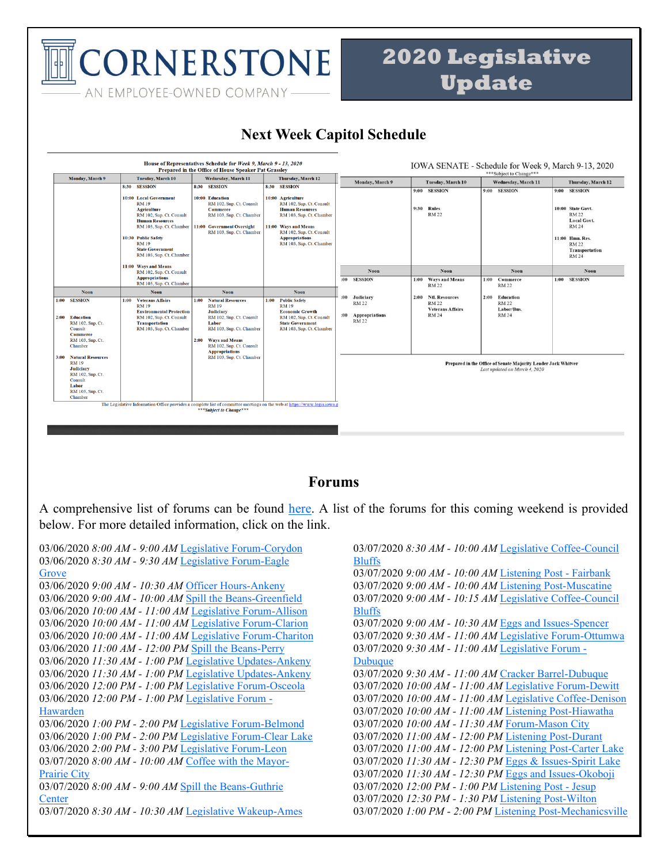**CORNERSTONE** AN EMPLOYEE-OWNED COMPANY-

## **2020 Legislative Update**

### **Next Week Capitol Schedule**



#### **Forums**

A comprehensive list of forums can be found [here.](http://www.infonetiowa.org/calendar/events/) A list of the forums for this coming weekend is provided below. For more detailed information, click on the link.

03/06/2020 *8:00 AM - 9:00 AM* [Legislative Forum-Corydon](http://www.infonetiowa.org/calendar/events/event-3742/) 03/06/2020 *8:30 AM - 9:30 AM* [Legislative Forum-Eagle](http://www.infonetiowa.org/calendar/events/event-3770/)  **[Grove](http://www.infonetiowa.org/calendar/events/event-3770/)** 03/06/2020 *9:00 AM - 10:30 AM* [Officer Hours-Ankeny](http://www.infonetiowa.org/calendar/events/event-3486/) 03/06/2020 *9:00 AM - 10:00 AM* [Spill the Beans-Greenfield](http://www.infonetiowa.org/calendar/events/event-3712/) 03/06/2020 *10:00 AM - 11:00 AM* [Legislative Forum-Allison](http://www.infonetiowa.org/calendar/events/event-3772/) 03/06/2020 *10:00 AM - 11:00 AM* [Legislative Forum-Clarion](http://www.infonetiowa.org/calendar/events/event-3771/) 03/06/2020 *10:00 AM - 11:00 AM* [Legislative Forum-Chariton](http://www.infonetiowa.org/calendar/events/event-3743/) 03/06/2020 *11:00 AM - 12:00 PM* [Spill the Beans-Perry](http://www.infonetiowa.org/calendar/events/event-3713/) 03/06/2020 *11:30 AM - 1:00 PM* [Legislative Updates-Ankeny](http://www.infonetiowa.org/calendar/events/event-3487/) 03/06/2020 *11:30 AM - 1:00 PM* [Legislative Updates-Ankeny](http://www.infonetiowa.org/calendar/events/event-3596/) 03/06/2020 *12:00 PM - 1:00 PM* [Legislative Forum-Osceola](http://www.infonetiowa.org/calendar/events/event-3744/) 03/06/2020 *12:00 PM - 1:00 PM* [Legislative Forum -](http://www.infonetiowa.org/calendar/events/event-3686/) [Hawarden](http://www.infonetiowa.org/calendar/events/event-3686/) 03/06/2020 *1:00 PM - 2:00 PM* [Legislative Forum-Belmond](http://www.infonetiowa.org/calendar/events/event-3773/) 03/06/2020 *1:00 PM - 2:00 PM* [Legislative Forum-Clear Lake](http://www.infonetiowa.org/calendar/events/event-3774/) 03/06/2020 *2:00 PM - 3:00 PM* [Legislative Forum-Leon](http://www.infonetiowa.org/calendar/events/event-3745/) 03/07/2020 *8:00 AM - 10:00 AM* [Coffee with the Mayor-](http://www.infonetiowa.org/calendar/events/event-3644/)[Prairie City](http://www.infonetiowa.org/calendar/events/event-3644/) 03/07/2020 *8:00 AM - 9:00 AM* [Spill the Beans-Guthrie](http://www.infonetiowa.org/calendar/events/event-3714/)  **[Center](http://www.infonetiowa.org/calendar/events/event-3714/)** 03/07/2020 *8:30 AM - 10:30 AM* [Legislative Wakeup-Ames](http://www.infonetiowa.org/calendar/events/event-3488/) 03/07/2020 *8:30 AM - 10:00 AM* [Legislative Coffee-Council](http://www.infonetiowa.org/calendar/events/event-3490/)  [Bluffs](http://www.infonetiowa.org/calendar/events/event-3490/) 03/07/2020 *9:00 AM - 10:00 AM* [Listening Post -](http://www.infonetiowa.org/calendar/events/event-3687/) Fairbank 03/07/2020 *9:00 AM - 10:00 AM* [Listening Post-Muscatine](http://www.infonetiowa.org/calendar/events/event-3775/) 03/07/2020 *9:00 AM - 10:15 AM* [Legislative Coffee-Council](http://www.infonetiowa.org/calendar/events/event-3597/)  [Bluffs](http://www.infonetiowa.org/calendar/events/event-3597/) 03/07/2020 *9:00 AM - 10:30 AM* [Eggs and Issues-Spencer](http://www.infonetiowa.org/calendar/events/event-3489/) 03/07/2020 *9:30 AM - 11:00 AM* [Legislative Forum-Ottumwa](http://www.infonetiowa.org/calendar/events/event-3646/) 03/07/2020 *9:30 AM - 11:00 AM* [Legislative Forum -](http://www.infonetiowa.org/calendar/events/event-3645/) [Dubuque](http://www.infonetiowa.org/calendar/events/event-3645/) 03/07/2020 *9:30 AM - 11:00 AM* [Cracker Barrel-Dubuque](http://www.infonetiowa.org/calendar/events/event-3598/) 03/07/2020 *10:00 AM - 11:00 AM* [Legislative Forum-Dewitt](http://www.infonetiowa.org/calendar/events/event-3649/) 03/07/2020 *10:00 AM - 11:00 AM* [Legislative Coffee-Denison](http://www.infonetiowa.org/calendar/events/event-3599/) 03/07/2020 *10:00 AM - 11:00 AM* [Listening Post-Hiawatha](http://www.infonetiowa.org/calendar/events/event-3647/) 03/07/2020 *10:00 AM - 11:30 AM* [Forum-Mason City](http://www.infonetiowa.org/calendar/events/event-3715/) 03/07/2020 *11:00 AM - 12:00 PM* [Listening Post-Durant](http://www.infonetiowa.org/calendar/events/event-3716/) 03/07/2020 *11:00 AM - 12:00 PM* [Listening Post-Carter Lake](http://www.infonetiowa.org/calendar/events/event-3600/) 03/07/2020 *11:30 AM - 12:30 PM* [Eggs & Issues-Spirit Lake](http://www.infonetiowa.org/calendar/events/event-3650/) 03/07/2020 *11:30 AM - 12:30 PM* [Eggs and Issues-Okoboji](http://www.infonetiowa.org/calendar/events/event-3491/) 03/07/2020 *12:00 PM - 1:00 PM* [Listening Post -](http://www.infonetiowa.org/calendar/events/event-3688/) Jesup 03/07/2020 *12:30 PM - 1:30 PM* [Listening Post-Wilton](http://www.infonetiowa.org/calendar/events/event-3717/) 03/07/2020 *1:00 PM - 2:00 PM* [Listening Post-Mechanicsville](http://www.infonetiowa.org/calendar/events/event-3776/)